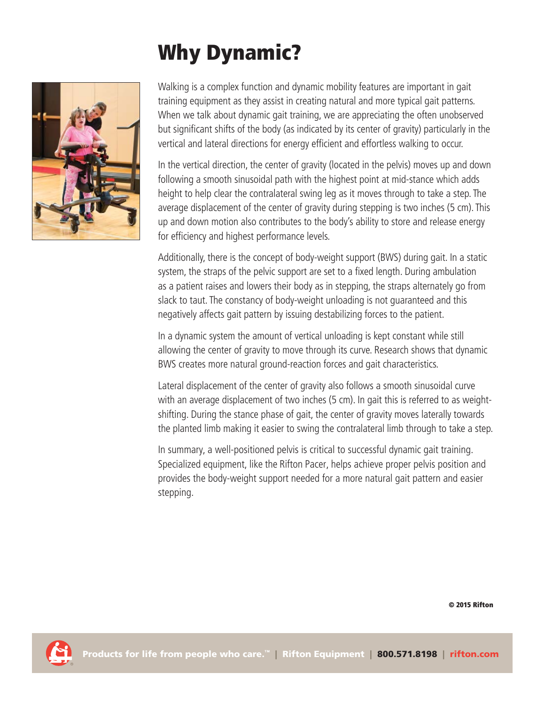## **Why Dynamic?**



Walking is a complex function and dynamic mobility features are important in gait training equipment as they assist in creating natural and more typical gait patterns. When we talk about dynamic gait training, we are appreciating the often unobserved but significant shifts of the body (as indicated by its center of gravity) particularly in the vertical and lateral directions for energy efficient and effortless walking to occur.

In the vertical direction, the center of gravity (located in the pelvis) moves up and down following a smooth sinusoidal path with the highest point at mid-stance which adds height to help clear the contralateral swing leg as it moves through to take a step. The average displacement of the center of gravity during stepping is two inches (5 cm). This up and down motion also contributes to the body's ability to store and release energy for efficiency and highest performance levels.

Additionally, there is the concept of body-weight support (BWS) during gait. In a static system, the straps of the pelvic support are set to a fixed length. During ambulation as a patient raises and lowers their body as in stepping, the straps alternately go from slack to taut. The constancy of body-weight unloading is not guaranteed and this negatively affects gait pattern by issuing destabilizing forces to the patient.

In a dynamic system the amount of vertical unloading is kept constant while still allowing the center of gravity to move through its curve. Research shows that dynamic BWS creates more natural ground-reaction forces and gait characteristics.

Lateral displacement of the center of gravity also follows a smooth sinusoidal curve with an average displacement of two inches (5 cm). In gait this is referred to as weightshifting. During the stance phase of gait, the center of gravity moves laterally towards the planted limb making it easier to swing the contralateral limb through to take a step.

In summary, a well-positioned pelvis is critical to successful dynamic gait training. Specialized equipment, like the Rifton Pacer, helps achieve proper pelvis position and provides the body-weight support needed for a more natural gait pattern and easier stepping.

**© 2015 Rifton**